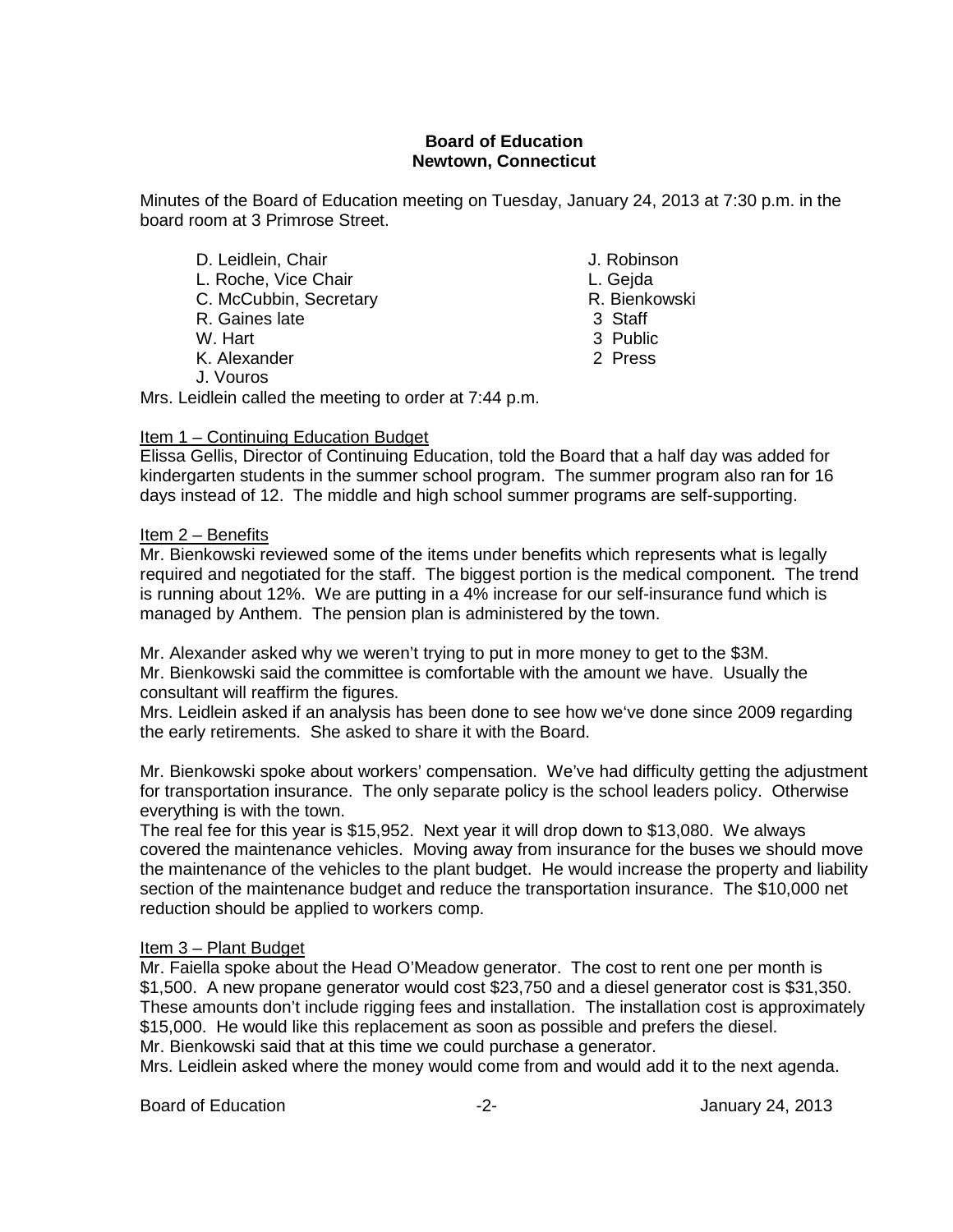## **Board of Education Newtown, Connecticut**

Minutes of the Board of Education meeting on Tuesday, January 24, 2013 at 7:30 p.m. in the board room at 3 Primrose Street.

D. Leidlein, Chair **D. Leidlein, Chair** L. Roche, Vice Chair<br>C. McCubbin. Secretary C. McCubbin. Secretary L. Gejda C. McCubbin, Secretary **R. Bience 19** R. Bienkowski, Secretary R. Bienkowski, Staff and R. Bienkowski, Staff and R<br>R. Gaines late R. Gaines late W. Hart 3 Public K. Alexander 2 Press J. Vouros

Mrs. Leidlein called the meeting to order at 7:44 p.m.

### Item 1 – Continuing Education Budget

Elissa Gellis, Director of Continuing Education, told the Board that a half day was added for kindergarten students in the summer school program. The summer program also ran for 16 days instead of 12. The middle and high school summer programs are self-supporting.

### Item 2 – Benefits

Mr. Bienkowski reviewed some of the items under benefits which represents what is legally required and negotiated for the staff. The biggest portion is the medical component. The trend is running about 12%. We are putting in a 4% increase for our self-insurance fund which is managed by Anthem. The pension plan is administered by the town.

Mr. Alexander asked why we weren't trying to put in more money to get to the \$3M. Mr. Bienkowski said the committee is comfortable with the amount we have. Usually the consultant will reaffirm the figures.

Mrs. Leidlein asked if an analysis has been done to see how we've done since 2009 regarding the early retirements. She asked to share it with the Board.

Mr. Bienkowski spoke about workers' compensation. We've had difficulty getting the adjustment for transportation insurance. The only separate policy is the school leaders policy. Otherwise everything is with the town.

The real fee for this year is \$15,952. Next year it will drop down to \$13,080. We always covered the maintenance vehicles. Moving away from insurance for the buses we should move the maintenance of the vehicles to the plant budget. He would increase the property and liability section of the maintenance budget and reduce the transportation insurance. The \$10,000 net reduction should be applied to workers comp.

#### Item 3 – Plant Budget

Mr. Faiella spoke about the Head O'Meadow generator. The cost to rent one per month is \$1,500. A new propane generator would cost \$23,750 and a diesel generator cost is \$31,350. These amounts don't include rigging fees and installation. The installation cost is approximately \$15,000. He would like this replacement as soon as possible and prefers the diesel. Mr. Bienkowski said that at this time we could purchase a generator.

Mrs. Leidlein asked where the money would come from and would add it to the next agenda.

Board of Education **-2-** Figure 24, 2013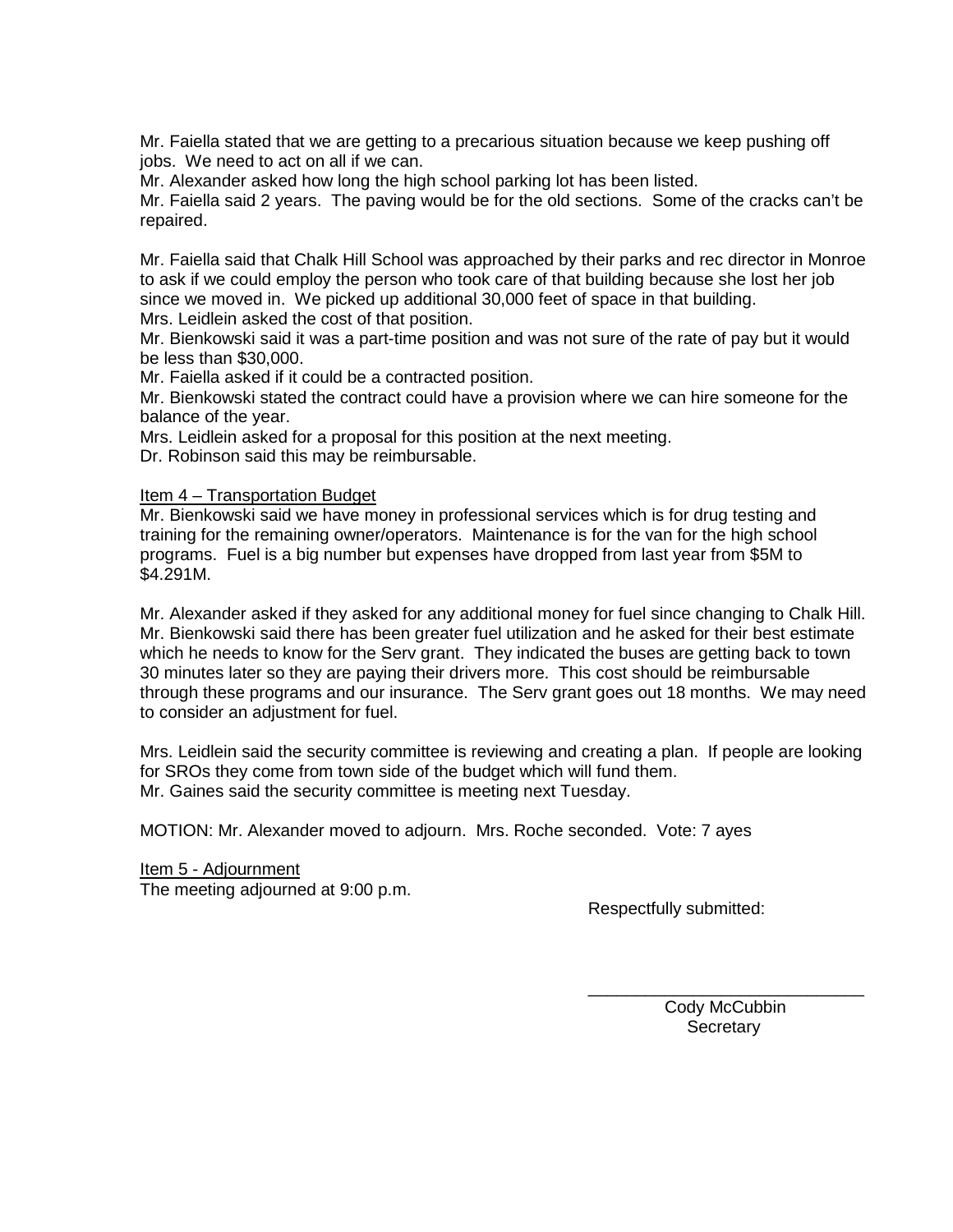Mr. Faiella stated that we are getting to a precarious situation because we keep pushing off jobs. We need to act on all if we can.

Mr. Alexander asked how long the high school parking lot has been listed.

Mr. Faiella said 2 years. The paving would be for the old sections. Some of the cracks can't be repaired.

Mr. Faiella said that Chalk Hill School was approached by their parks and rec director in Monroe to ask if we could employ the person who took care of that building because she lost her job since we moved in. We picked up additional 30,000 feet of space in that building.

Mrs. Leidlein asked the cost of that position.

Mr. Bienkowski said it was a part-time position and was not sure of the rate of pay but it would be less than \$30,000.

Mr. Faiella asked if it could be a contracted position.

Mr. Bienkowski stated the contract could have a provision where we can hire someone for the balance of the year.

Mrs. Leidlein asked for a proposal for this position at the next meeting.

Dr. Robinson said this may be reimbursable.

#### Item 4 – Transportation Budget

Mr. Bienkowski said we have money in professional services which is for drug testing and training for the remaining owner/operators. Maintenance is for the van for the high school programs. Fuel is a big number but expenses have dropped from last year from \$5M to \$4.291M.

Mr. Alexander asked if they asked for any additional money for fuel since changing to Chalk Hill. Mr. Bienkowski said there has been greater fuel utilization and he asked for their best estimate which he needs to know for the Serv grant. They indicated the buses are getting back to town 30 minutes later so they are paying their drivers more. This cost should be reimbursable through these programs and our insurance. The Serv grant goes out 18 months. We may need to consider an adjustment for fuel.

Mrs. Leidlein said the security committee is reviewing and creating a plan. If people are looking for SROs they come from town side of the budget which will fund them. Mr. Gaines said the security committee is meeting next Tuesday.

MOTION: Mr. Alexander moved to adjourn. Mrs. Roche seconded. Vote: 7 ayes

Item 5 - Adjournment The meeting adjourned at 9:00 p.m.

Respectfully submitted:

\_\_\_\_\_\_\_\_\_\_\_\_\_\_\_\_\_\_\_\_\_\_\_\_\_\_\_\_\_ Cody McCubbin **Secretary**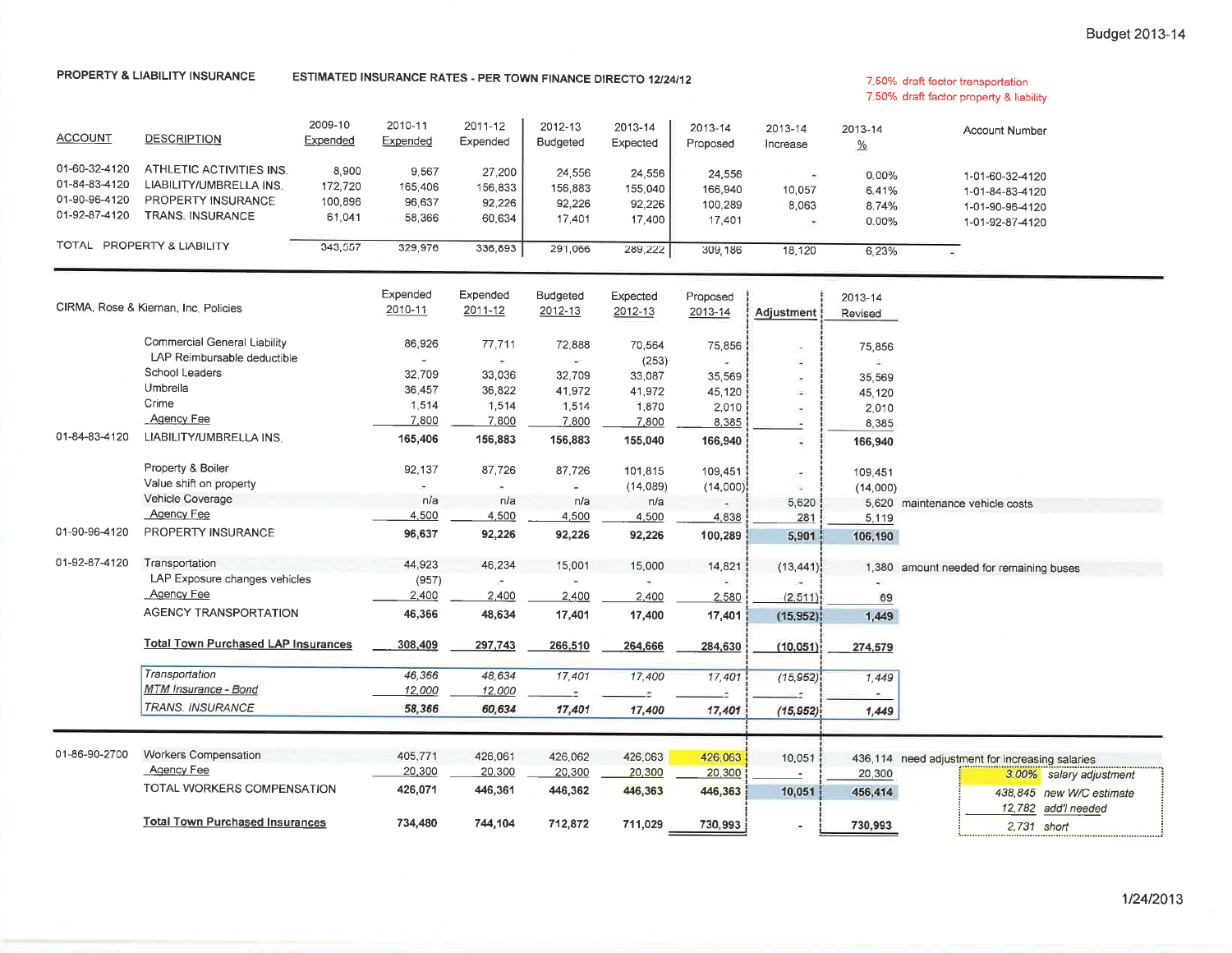#### PROPERTY & LIABILITY INSURANCE

## ESTIMATED INSURANCE RATES - PER TOWN FINANCE DIRECTO 12/24/12

#### 7.50% draft factor transportation 7.50% draft factor property & liability

| <b>ACCOUNT</b>                                                   | <b>DESCRIPTION</b>                                                                                                      | 2009-10<br>Expended                   | 2010-11<br>Expended                                | 2011-12<br>Expended                                    | 2012-13<br><b>Budgeted</b>                             | 2013-14<br>Expected                                   | 2013-14<br>Proposed                               | 2013-14<br>Increase                                                                                                                                                                                                                                                                                                                                                                                                                                                                         | 2013-14<br>$\frac{9}{6}$                  | <b>Account Number</b>                                                      |
|------------------------------------------------------------------|-------------------------------------------------------------------------------------------------------------------------|---------------------------------------|----------------------------------------------------|--------------------------------------------------------|--------------------------------------------------------|-------------------------------------------------------|---------------------------------------------------|---------------------------------------------------------------------------------------------------------------------------------------------------------------------------------------------------------------------------------------------------------------------------------------------------------------------------------------------------------------------------------------------------------------------------------------------------------------------------------------------|-------------------------------------------|----------------------------------------------------------------------------|
| 01-60-32-4120<br>01-84-83-4120<br>01-90-96-4120<br>01-92-87-4120 | ATHLETIC ACTIVITIES INS.<br>LIABILITY/UMBRELLA INS.<br>PROPERTY INSURANCE<br><b>TRANS. INSURANCE</b>                    | 8,900<br>172,720<br>100,896<br>61,041 | 9,567<br>165,406<br>96,637<br>58,366               | 27,200<br>156,833<br>92,226<br>60,634                  | 24,556<br>156,883<br>92,226<br>17,401                  | 24,556<br>155,040<br>92,226<br>17,400                 | 24,556<br>166,940<br>100,289<br>17,401            | $\left( \frac{1}{2} \right)$<br>10,057<br>8,063<br>٠                                                                                                                                                                                                                                                                                                                                                                                                                                        | 0.00%<br>6.41%<br>8.74%<br>0.00%          | 1-01-60-32-4120<br>1-01-84-83-4120<br>1-01-90-96-4120<br>1-01-92-87-4120   |
| TOTAL - PROPERTY & LIABILITY<br>343,557                          |                                                                                                                         | 329,976                               | 336,893                                            | 291,066                                                | 289,222                                                | 309,186                                               | 18,120                                            | 6.23%                                                                                                                                                                                                                                                                                                                                                                                                                                                                                       | $\sim$                                    |                                                                            |
|                                                                  | CIRMA, Rose & Kiernan, Inc. Policies                                                                                    |                                       | Expended<br>2010-11                                | Expended<br>2011-12                                    | Budgeted<br>2012-13                                    | Expected<br>2012-13                                   | Proposed<br>2013-14                               | Adjustment                                                                                                                                                                                                                                                                                                                                                                                                                                                                                  | 2013-14<br>Revised                        |                                                                            |
|                                                                  | Commercial General Liability<br>LAP Reimbursable deductible<br>School Leaders<br>Umbrella<br>Crime<br><b>Agency Fee</b> |                                       | 86,926<br>×.<br>32.709<br>36,457<br>1,514<br>7,800 | 77,711<br>$\sim$<br>33,036<br>36,822<br>1,514<br>7,800 | 72,888<br>$\sim$<br>32,709<br>41,972<br>1,514<br>7,800 | 70,564<br>(253)<br>33,087<br>41,972<br>1,870<br>7,800 | 75,856<br>×<br>35,569<br>45,120<br>2,010<br>8,385 | ×,<br>$\overline{\phantom{a}}$<br>×.<br>$\overline{\phantom{a}}$<br>$\overline{\phantom{a}}$                                                                                                                                                                                                                                                                                                                                                                                                | 75,856<br>ź.<br>35,569<br>45,120<br>2,010 |                                                                            |
| 01-84-83-4120                                                    | LIABILITY/UMBRELLA INS.<br>Property & Boiler<br>Value shift on property                                                 |                                       | 165,406<br>92,137<br>$\overline{\phantom{a}}$      | 156,883<br>87,726<br>$\sim$                            | 156,883<br>87,726<br>×                                 | 155,040<br>101,815<br>(14,089)                        | 166,940<br>109,451<br>(14,000)                    | ٠<br>$\frac{1}{2} \left( \frac{1}{2} \right) \left( \frac{1}{2} \right) \left( \frac{1}{2} \right) \left( \frac{1}{2} \right) \left( \frac{1}{2} \right) \left( \frac{1}{2} \right) \left( \frac{1}{2} \right) \left( \frac{1}{2} \right) \left( \frac{1}{2} \right) \left( \frac{1}{2} \right) \left( \frac{1}{2} \right) \left( \frac{1}{2} \right) \left( \frac{1}{2} \right) \left( \frac{1}{2} \right) \left( \frac{1}{2} \right) \left( \frac{1}{2} \right) \left( \frac$<br>E.<br>u, | 8,385<br>166,940<br>109,451<br>(14,000)   |                                                                            |
| 01-90-96-4120                                                    | <b>Vehicle Coverage</b><br><b>Agency Fee</b><br>PROPERTY INSURANCE                                                      |                                       | n/a<br>4,500<br>96,637                             | n/a<br>4,500<br>92,226                                 | n/a<br>4,500<br>92,226                                 | n/a<br>4,500<br>92,226                                | 4.838<br>100,289                                  | 5,620<br>281<br>5,901                                                                                                                                                                                                                                                                                                                                                                                                                                                                       | 5,620<br>5,119<br>106,190                 | maintenance vehicle costs                                                  |
| 01-92-87-4120                                                    | Transportation<br>LAP Exposure changes vehicles<br><b>Agency Fee</b>                                                    |                                       | 44,923<br>(957)<br>2,400                           | 46,234<br>×<br>2,400                                   | 15,001<br>×.<br>2,400                                  | 15,000<br>2,400                                       | 14,821<br>2,580                                   | (13, 441)<br>(2.511)                                                                                                                                                                                                                                                                                                                                                                                                                                                                        | 1,380<br>69                               | amount needed for remaining buses                                          |
|                                                                  | <b>AGENCY TRANSPORTATION</b><br><b>Total Town Purchased LAP Insurances</b>                                              |                                       | 46,366<br>308,409                                  | 48,634<br>297,743                                      | 17,401<br>266,510                                      | 17,400<br>264,666                                     | 17,401<br>284,630                                 | (15, 952)<br>(10.051)                                                                                                                                                                                                                                                                                                                                                                                                                                                                       | 1,449<br>274,579                          |                                                                            |
|                                                                  | Transportation<br>MTM Insurance - Bond<br><b>TRANS. INSURANCE</b>                                                       |                                       | 46,366<br>12,000<br>58,366                         | 48,634<br>12,000<br>60,634                             | 17,401<br>17,401                                       | 17,400<br>17,400                                      | 17,401<br>17,401                                  | (15, 952)<br>(15, 952)                                                                                                                                                                                                                                                                                                                                                                                                                                                                      | 1,449<br>1,449                            |                                                                            |
| 01-86-90-2700                                                    | <b>Workers Compensation</b><br><b>Agency Fee</b>                                                                        |                                       | 405,771<br>20,300                                  | 426,061<br>20,300                                      | 426,062<br>20,300                                      | 426,063<br>20,300                                     | 426,063<br>20,300                                 | 10,051                                                                                                                                                                                                                                                                                                                                                                                                                                                                                      | 20,300                                    | 436,114 need adjustment for increasing salaries<br>3.00% salary adjustment |
|                                                                  | TOTAL WORKERS COMPENSATION<br><b>Total Town Purchased Insurances</b>                                                    |                                       | 426,071<br>734,480                                 | 446,361<br>744,104                                     | 446,362<br>712,872                                     | 446,363<br>711,029                                    | 446,363<br>730,993                                | 10,051<br>٠                                                                                                                                                                                                                                                                                                                                                                                                                                                                                 | 456,414<br>730,993                        | 438,845 new W/C estimate<br>12,782 add'l needed<br>2.731 short             |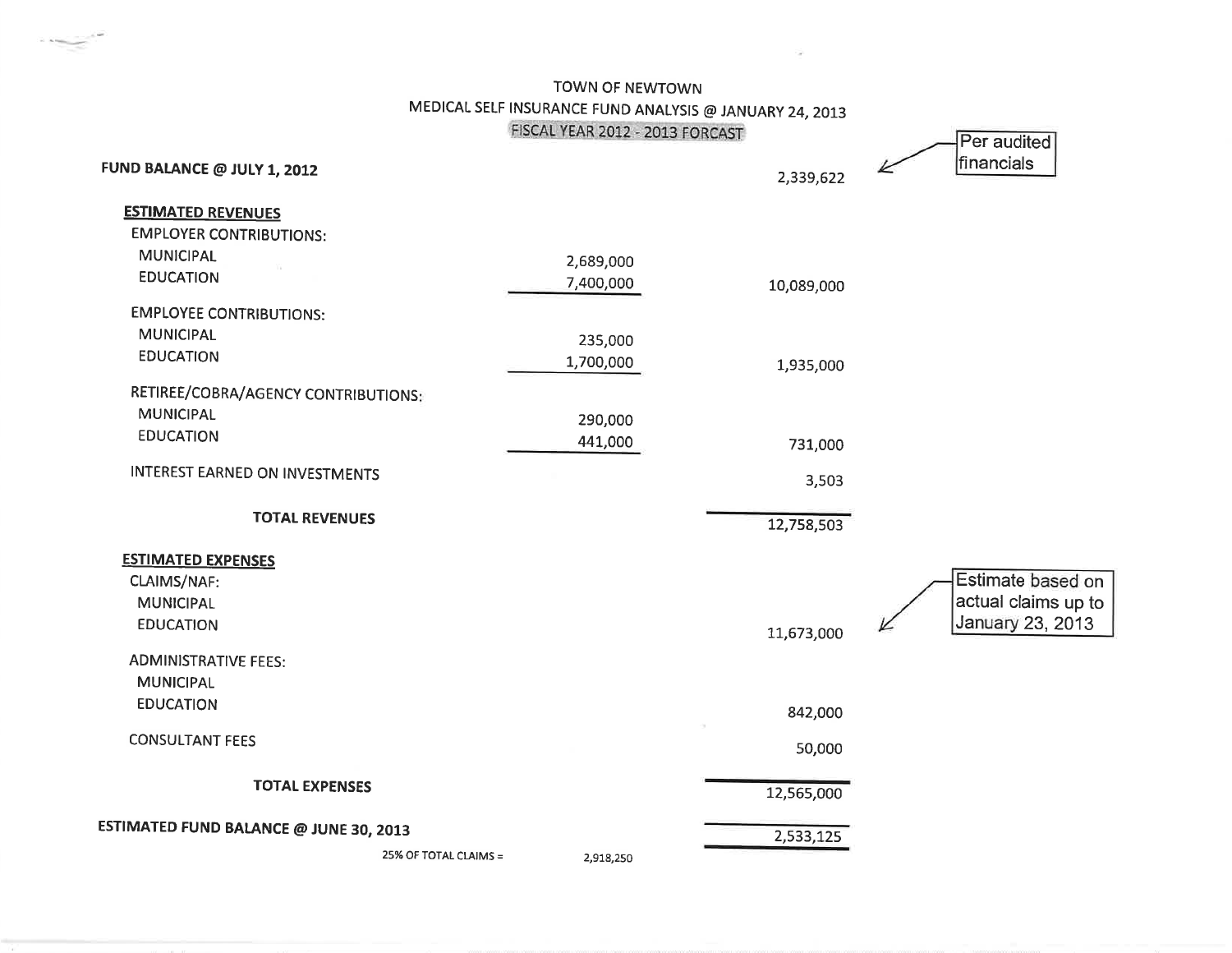TOWN OF NEWTOWN MEDICAL SELF INSURANCE FUND ANALYSIS @ JANUARY 24, 2013 FISCAL YEAR 2012 - 2013 FORCAST

| FUND BALANCE @ JULY 1, 2012            |                       | FISCAL YEAR 2012 - 2013 FORCAST | 2,339,622  | Per audited<br>financials |
|----------------------------------------|-----------------------|---------------------------------|------------|---------------------------|
| <b>ESTIMATED REVENUES</b>              |                       |                                 |            |                           |
| <b>EMPLOYER CONTRIBUTIONS:</b>         |                       |                                 |            |                           |
| <b>MUNICIPAL</b>                       |                       | 2,689,000                       |            |                           |
| <b>EDUCATION</b>                       |                       | 7,400,000                       | 10,089,000 |                           |
| <b>EMPLOYEE CONTRIBUTIONS:</b>         |                       |                                 |            |                           |
| <b>MUNICIPAL</b>                       |                       | 235,000                         |            |                           |
| <b>EDUCATION</b>                       |                       | 1,700,000                       | 1,935,000  |                           |
| RETIREE/COBRA/AGENCY CONTRIBUTIONS:    |                       |                                 |            |                           |
| <b>MUNICIPAL</b>                       |                       | 290,000                         |            |                           |
| <b>EDUCATION</b>                       |                       | 441,000                         | 731,000    |                           |
| <b>INTEREST EARNED ON INVESTMENTS</b>  |                       |                                 | 3,503      |                           |
| <b>TOTAL REVENUES</b>                  |                       |                                 | 12,758,503 |                           |
| <b>ESTIMATED EXPENSES</b>              |                       |                                 |            |                           |
| CLAIMS/NAF:                            |                       |                                 |            | Estimate based on         |
| <b>MUNICIPAL</b>                       |                       |                                 |            | actual claims up to       |
| <b>EDUCATION</b>                       |                       |                                 | 11,673,000 | January 23, 2013          |
| <b>ADMINISTRATIVE FEES:</b>            |                       |                                 |            |                           |
| <b>MUNICIPAL</b>                       |                       |                                 |            |                           |
| <b>EDUCATION</b>                       |                       |                                 | 842,000    |                           |
| <b>CONSULTANT FEES</b>                 |                       |                                 | 50,000     |                           |
| <b>TOTAL EXPENSES</b>                  |                       |                                 | 12,565,000 |                           |
| ESTIMATED FUND BALANCE @ JUNE 30, 2013 |                       |                                 | 2,533,125  |                           |
|                                        | 25% OF TOTAL CLAIMS = | 2,918,250                       |            |                           |
|                                        |                       |                                 |            |                           |

 $\label{eq:1} \mathcal{N}(\mathcal{M}_{\mathcal{M}_{\mathcal{M}}},\mathcal{M}_{\mathcal{M}_{\mathcal{M}}}^{\mathcal{M}})$